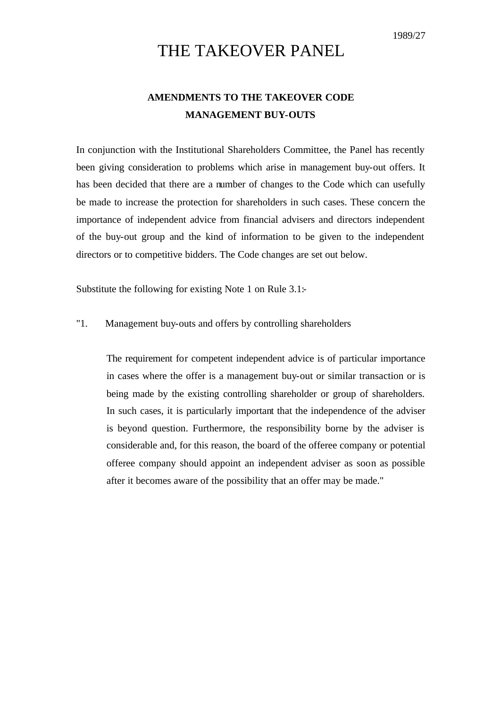# THE TAKEOVER PANEL

# **AMENDMENTS TO THE TAKEOVER CODE MANAGEMENT BUY-OUTS**

In conjunction with the Institutional Shareholders Committee, the Panel has recently been giving consideration to problems which arise in management buy-out offers. It has been decided that there are a number of changes to the Code which can usefully be made to increase the protection for shareholders in such cases. These concern the importance of independent advice from financial advisers and directors independent of the buy-out group and the kind of information to be given to the independent directors or to competitive bidders. The Code changes are set out below.

Substitute the following for existing Note 1 on Rule 3.1:-

## "1. Management buy-outs and offers by controlling shareholders

The requirement for competent independent advice is of particular importance in cases where the offer is a management buy-out or similar transaction or is being made by the existing controlling shareholder or group of shareholders. In such cases, it is particularly important that the independence of the adviser is beyond question. Furthermore, the responsibility borne by the adviser is considerable and, for this reason, the board of the offeree company or potential offeree company should appoint an independent adviser as soon as possible after it becomes aware of the possibility that an offer may be made."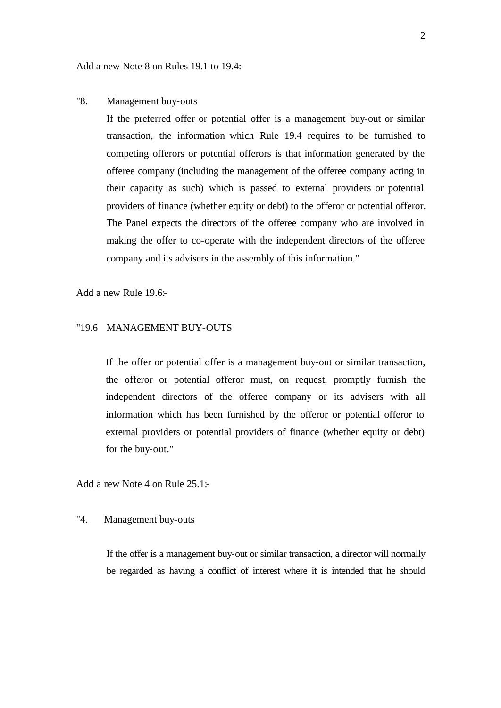Add a new Note 8 on Rules 19.1 to 19.4:-

#### "8. Management buy-outs

If the preferred offer or potential offer is a management buy-out or similar transaction, the information which Rule 19.4 requires to be furnished to competing offerors or potential offerors is that information generated by the offeree company (including the management of the offeree company acting in their capacity as such) which is passed to external providers or potential providers of finance (whether equity or debt) to the offeror or potential offeror. The Panel expects the directors of the offeree company who are involved in making the offer to co-operate with the independent directors of the offeree company and its advisers in the assembly of this information."

Add a new Rule 19.6:

# "19.6 MANAGEMENT BUY-OUTS

If the offer or potential offer is a management buy-out or similar transaction, the offeror or potential offeror must, on request, promptly furnish the independent directors of the offeree company or its advisers with all information which has been furnished by the offeror or potential offeror to external providers or potential providers of finance (whether equity or debt) for the buy-out."

Add a new Note 4 on Rule 25.1:

#### "4. Management buy-outs

If the offer is a management buy-out or similar transaction, a director will normally be regarded as having a conflict of interest where it is intended that he should